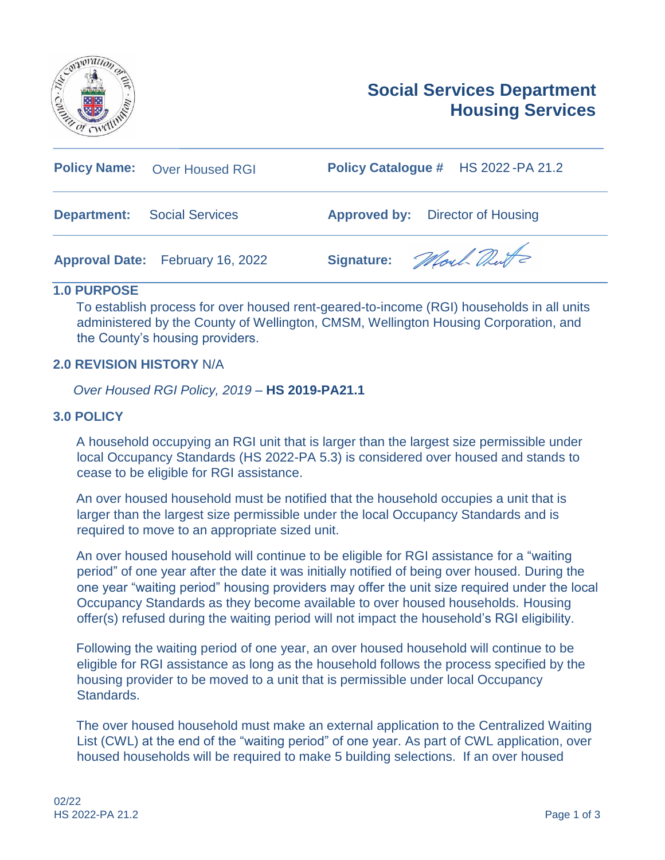



| <b>Policy Name:</b> Over Housed RGI          | Policy Catalogue # HS 2022-PA 21.2      |
|----------------------------------------------|-----------------------------------------|
| <b>Department:</b><br><b>Social Services</b> | <b>Approved by:</b> Director of Housing |
| <b>Approval Date:</b> February 16, 2022      | Signature: Mort Dut                     |

### **1.0 PURPOSE**

To establish process for over housed rent-geared-to-income (RGI) households in all units administered by the County of Wellington, CMSM, Wellington Housing Corporation, and the County's housing providers.

### **2.0 REVISION HISTORY** N/A

*Over Housed RGI Policy, 2019* – **HS 2019-PA21.1**

### **3.0 POLICY**

A household occupying an RGI unit that is larger than the largest size permissible under local Occupancy Standards (HS 2022-PA 5.3) is considered over housed and stands to cease to be eligible for RGI assistance.

An over housed household must be notified that the household occupies a unit that is larger than the largest size permissible under the local Occupancy Standards and is required to move to an appropriate sized unit.

An over housed household will continue to be eligible for RGI assistance for a "waiting period" of one year after the date it was initially notified of being over housed. During the one year "waiting period" housing providers may offer the unit size required under the local Occupancy Standards as they become available to over housed households. Housing offer(s) refused during the waiting period will not impact the household's RGI eligibility.

Following the waiting period of one year, an over housed household will continue to be eligible for RGI assistance as long as the household follows the process specified by the housing provider to be moved to a unit that is permissible under local Occupancy Standards.

The over housed household must make an external application to the Centralized Waiting List (CWL) at the end of the "waiting period" of one year. As part of CWL application, over housed households will be required to make 5 building selections. If an over housed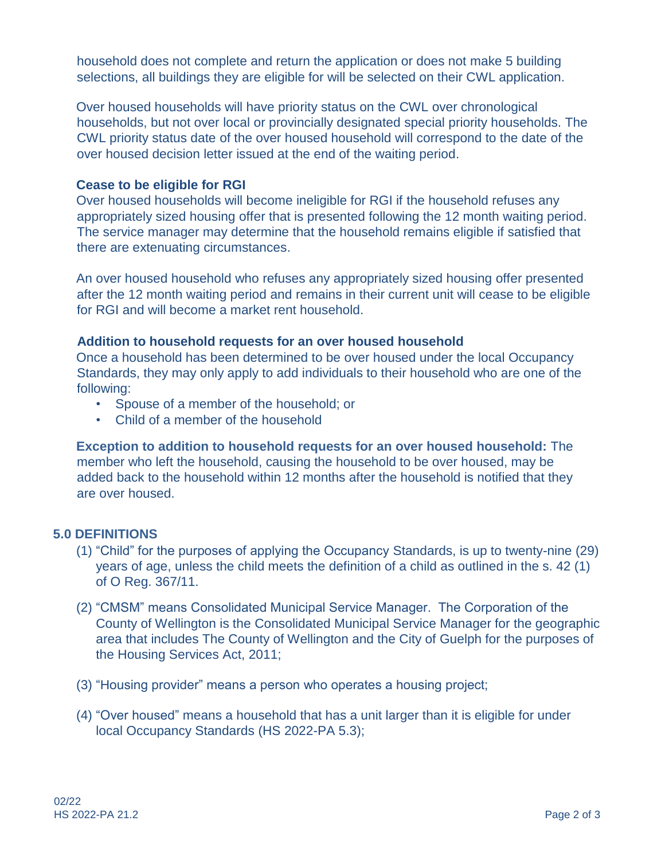household does not complete and return the application or does not make 5 building selections, all buildings they are eligible for will be selected on their CWL application.

Over housed households will have priority status on the CWL over chronological households, but not over local or provincially designated special priority households. The CWL priority status date of the over housed household will correspond to the date of the over housed decision letter issued at the end of the waiting period.

### **Cease to be eligible for RGI**

Over housed households will become ineligible for RGI if the household refuses any appropriately sized housing offer that is presented following the 12 month waiting period. The service manager may determine that the household remains eligible if satisfied that there are extenuating circumstances.

An over housed household who refuses any appropriately sized housing offer presented after the 12 month waiting period and remains in their current unit will cease to be eligible for RGI and will become a market rent household.

# **Addition to household requests for an over housed household**

Once a household has been determined to be over housed under the local Occupancy Standards, they may only apply to add individuals to their household who are one of the following:

- Spouse of a member of the household; or
- Child of a member of the household

**Exception to addition to household requests for an over housed household:** The member who left the household, causing the household to be over housed, may be added back to the household within 12 months after the household is notified that they are over housed.

# **5.0 DEFINITIONS**

- (1) "Child" for the purposes of applying the Occupancy Standards, is up to twenty-nine (29) years of age, unless the child meets the definition of a child as outlined in the s. 42 (1) of O Reg. 367/11.
- (2) "CMSM" means Consolidated Municipal Service Manager. The Corporation of the County of Wellington is the Consolidated Municipal Service Manager for the geographic area that includes The County of Wellington and the City of Guelph for the purposes of the Housing Services Act, 2011;
- (3) "Housing provider" means a person who operates a housing project;
- (4) "Over housed" means a household that has a unit larger than it is eligible for under local Occupancy Standards (HS 2022-PA 5.3);